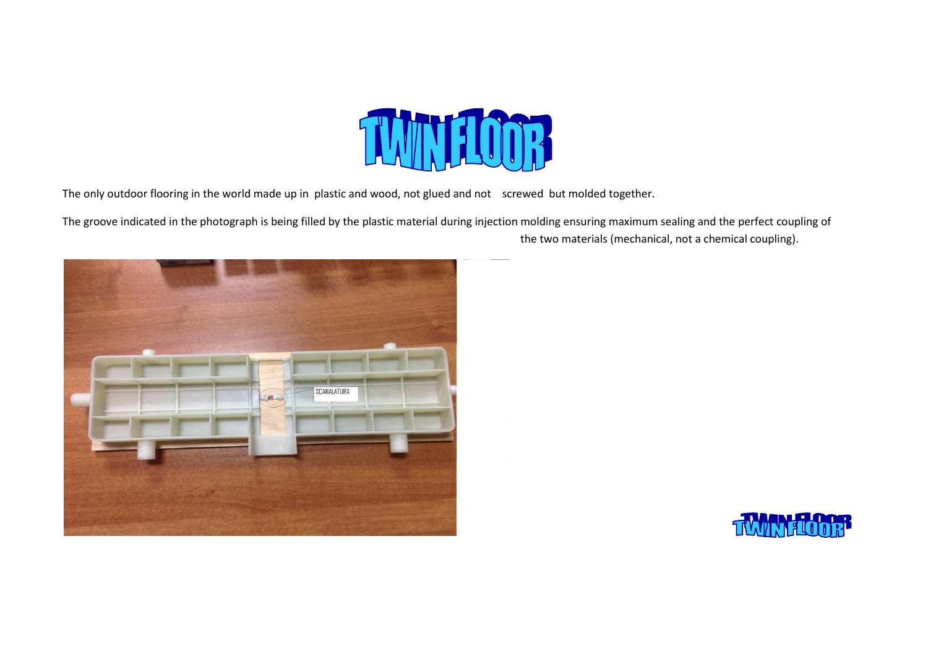

The only outdoor flooring in the world made up in plastic and wood, not glued and not screwed but molded together.

The groove indicated in the photograph is being filled by the plastic material during injection molding ensuring maximum sealing and the perfect coupling ofthe two materials (mechanical, not a chemical coupling).



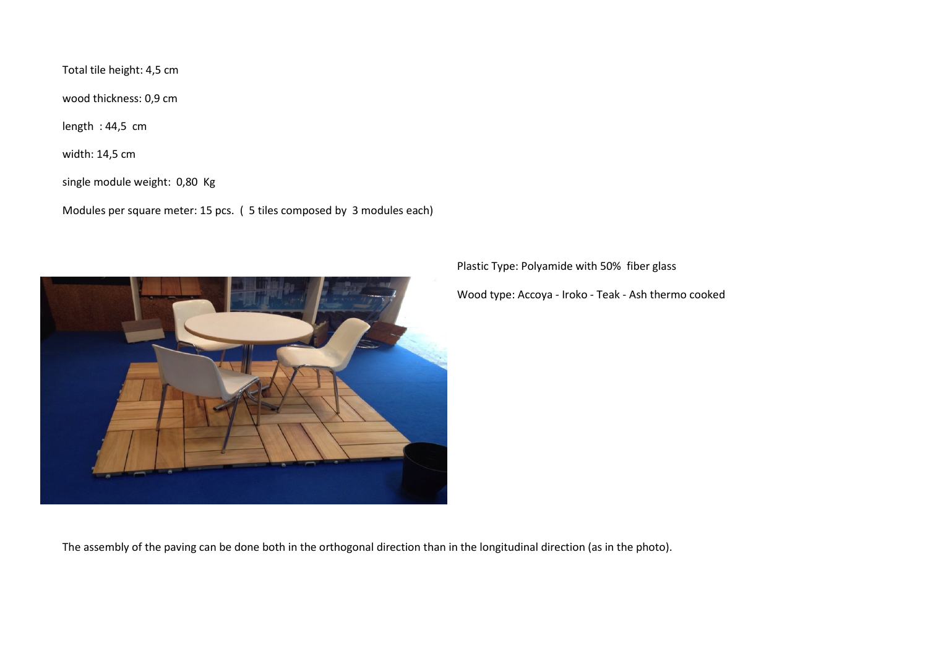Total tile height: 4,5 cm

wood thickness: 0,9 cm

length : 44,5 cm

width: 14,5 cm

single module weight: 0,80 Kg

Modules per square meter: 15 pcs. ( 5 tiles composed by 3 modules each)



Plastic Type: Polyamide with 50% fiber glass

Wood type: Accoya - Iroko - Teak - Ash thermo cooked

The assembly of the paving can be done both in the orthogonal direction than in the longitudinal direction (as in the photo).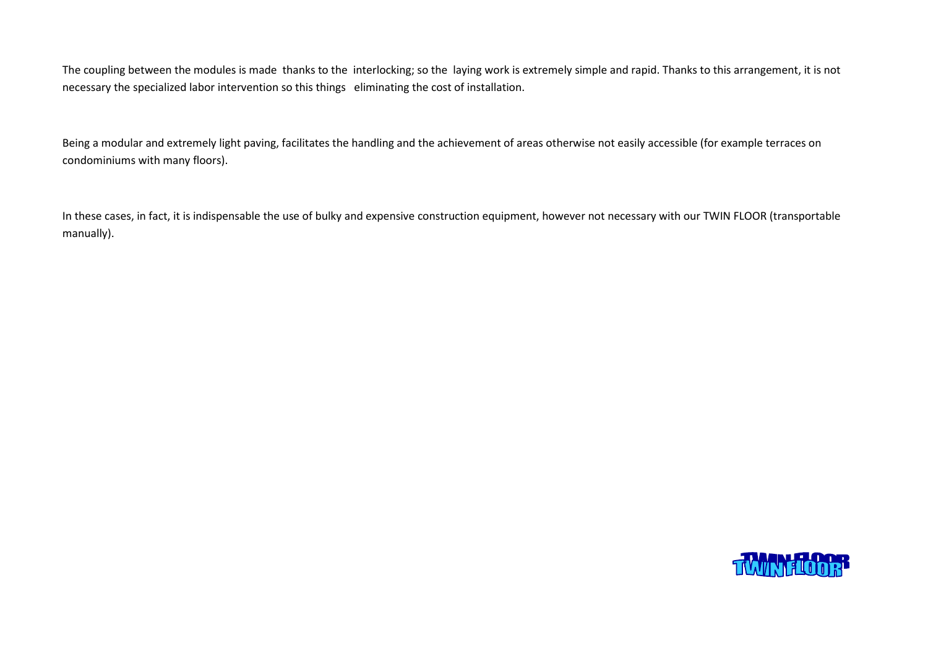The coupling between the modules is made thanks to the interlocking; so the laying work is extremely simple and rapid. Thanks to this arrangement, it is not necessary the specialized labor intervention so this things eliminating the cost of installation.

Being a modular and extremely light paving, facilitates the handling and the achievement of areas otherwise not easily accessible (for example terraces on condominiums with many floors).

In these cases, in fact, it is indispensable the use of bulky and expensive construction equipment, however not necessary with our TWIN FLOOR (transportable manually).